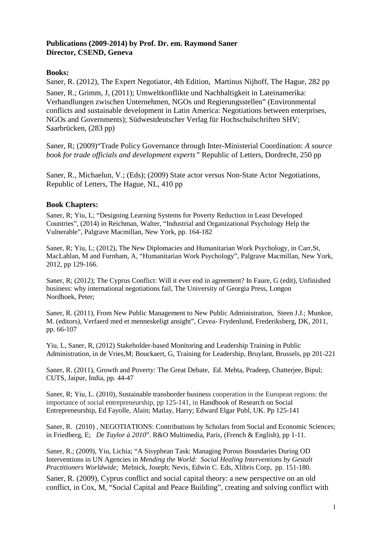## **Publications (2009-2014) by Prof. Dr. em. Raymond Saner Director, CSEND, Geneva**

## **Books:**

Saner, R. (2012), The Expert Negotiator, 4th Edition, Martinus Nijhoff, The Hague, 282 pp Saner, R.; Grimm, J, (2011); Umweltkonflikte und Nachhaltigkeit in Lateinamerika: Verhandlungen zwischen Unternehmen, NGOs und Regierungsstellen" (Environmental conflicts and sustainable development in Latin America: Negotiations between enterprises, NGOs and Governments); Südwestdeutscher Verlag für Hochschulschriften SHV; Saarbrücken, (283 pp)

Saner, R; (2009)"Trade Policy Governance through Inter-Ministerial Coordination: *A source book for trade officials and development experts"* Republic of Letters, Dordrecht*,* 250 pp

Saner, R., Michaelun, V.; (Eds); (2009) State actor versus Non-State Actor Negotiations, Republic of Letters, The Hague, NL, 410 pp

#### **Book Chapters:**

Saner, R; Yiu, L; "Designing Learning Systems for Poverty Reduction in Least Developed Countries", (2014) in Reichman, Walter, "Industrial and Organizational Psychology Help the Vulnerable", Palgrave Macmillan, New York, pp. 164-182

Saner, R; Yiu, L; (2012), The New Diplomacies and Humanitarian Work Psychology, in Carr,St, MacLahlan, M and Furnham, A, "Humanitarian Work Psychology", Palgrave Macmillan, New York, 2012, pp 129-166.

Saner, R; (2012); The Cyprus Conflict: Will it ever end in agreement? In Faure, G (edit), Unfinished business: why international negotiations fail, The University of Georgia Press, Longon Nordhoek, Peter;

Saner, R. (2011), From New Public Management to New Public Administration, Steen J.J.; Munkoe, M. (editors), Verfaerd med et menneskeligt ansight", Cevea- Frydenlund, Frederiksberg, DK, 2011, pp. 66-107

Yiu, L, Saner, R, (2012) Stakeholder-based Monitoring and Leadership Training in Public Administration, in de Vries,M; Bouckaert, G, Training for Leadership, Bruylant, Brussels, pp 201-221

Saner, R. (2011), Growth and Poverty: The Great Debate, Ed. Mehta, Pradeep, Chatterjee, Bipul; CUTS, Jaipur, India, pp. 44-47

Saner, R; Yiu, L. (2010), Sustainable transborder business cooperation in the European regions: the importance of social entrepreneurship, pp 125-141, in Handbook of Research on Social Entrepreneurship, Ed Fayolle, Alain; Matlay, Harry; Edward Elgar Publ, UK. Pp 125-141

Saner, R. (2010) , NEGOTIATIONS: Contributions by Scholars from Social and Economic Sciences; in Friedberg, E; *De Taylor à 2010*". R&O Multimedia, Paris, (French & English), pp 1-11.

Saner, R.; (2009), Yiu, Lichia; "A Sisyphean Task: Managing Porous Boundaries During OD Interventions in UN Agencies in *Mending the World: Social Healing Interventions by Gestalt Practitioners Worldwide;* Melnick, Joseph; Nevis, Edwin C. Eds, Xlibris Corp, pp. 151-180.

Saner, R. (2009), Cyprus conflict and social capital theory: a new perspective on an old conflict, in Cox, M, "Social Capital and Peace Building", creating and solving conflict with